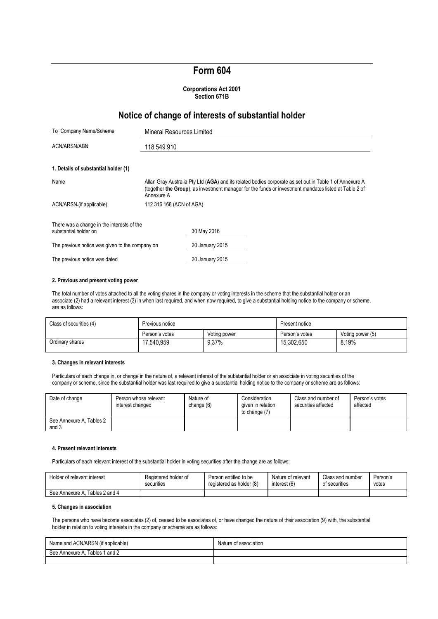# **Form 604**

#### **Corporations Act 2001 Section 671B**

## **Notice of change of interests of substantial holder**

| To Company Name/Scheme                                              | <b>Mineral Resources Limited</b>                                                                                                                                                                                               |                 |  |  |  |
|---------------------------------------------------------------------|--------------------------------------------------------------------------------------------------------------------------------------------------------------------------------------------------------------------------------|-----------------|--|--|--|
| ACN/ARSN/ABN                                                        | 118 549 910                                                                                                                                                                                                                    |                 |  |  |  |
| 1. Details of substantial holder (1)                                |                                                                                                                                                                                                                                |                 |  |  |  |
| Name                                                                | Allan Gray Australia Pty Ltd (AGA) and its related bodies corporate as set out in Table 1 of Annexure A<br>(together the Group), as investment manager for the funds or investment mandates listed at Table 2 of<br>Annexure A |                 |  |  |  |
| ACN/ARSN (if applicable)                                            | 112 316 168 (ACN of AGA)                                                                                                                                                                                                       |                 |  |  |  |
| There was a change in the interests of the<br>substantial holder on |                                                                                                                                                                                                                                | 30 May 2016     |  |  |  |
| The previous notice was given to the company on                     |                                                                                                                                                                                                                                | 20 January 2015 |  |  |  |
| The previous notice was dated                                       |                                                                                                                                                                                                                                | 20 January 2015 |  |  |  |

#### **2. Previous and present voting power**

The total number of votes attached to all the voting shares in the company or voting interests in the scheme that the substantial holder or an associate (2) had a relevant interest (3) in when last required, and when now required, to give a substantial holding notice to the company or scheme, are as follows:

| Class of securities (4) | Previous notice |              | Present notice |                  |
|-------------------------|-----------------|--------------|----------------|------------------|
|                         | Person's votes  | Voting power | Person's votes | Voting power (5) |
| Ordinary shares         | 17.540.959      | 9.37%        | 15.302.650     | 8.19%            |

#### **3. Changes in relevant interests**

Particulars of each change in, or change in the nature of, a relevant interest of the substantial holder or an associate in voting securities of the company or scheme, since the substantial holder was last required to give a substantial holding notice to the company or scheme are as follows:

| Date of change                    | Person whose relevant<br>interest changed | Nature of<br>change (6) | Consideration<br>given in relation<br>to change (7) | Class and number of<br>securities affected | Person's votes<br>affected |
|-----------------------------------|-------------------------------------------|-------------------------|-----------------------------------------------------|--------------------------------------------|----------------------------|
| See Annexure A, Tables 2<br>and 3 |                                           |                         |                                                     |                                            |                            |

#### **4. Present relevant interests**

Particulars of each relevant interest of the substantial holder in voting securities after the change are as follows:

| Holder of relevant interest    | Registered holder of | Person entitled to be    | Nature of relevant | Class and number | Person's |
|--------------------------------|----------------------|--------------------------|--------------------|------------------|----------|
|                                | securities           | registered as holder (8) | interest (6)       | of securities    | votes    |
| See Annexure A. Tables 2 and 4 |                      |                          |                    |                  |          |

#### **5. Changes in association**

The persons who have become associates (2) of, ceased to be associates of, or have changed the nature of their association (9) with, the substantial holder in relation to voting interests in the company or scheme are as follows:

| Name and ACN/ARSN (if applicable) | Nature<br>t association |
|-----------------------------------|-------------------------|
| Tables 1 and 2<br>See Annexure A  |                         |
|                                   |                         |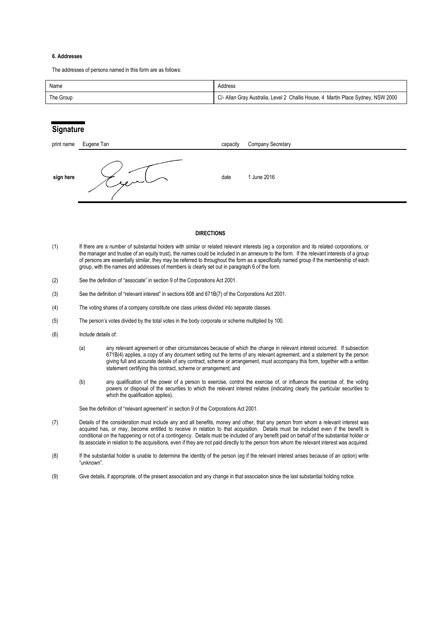#### **6. Addresses**

The addresses of persons named in this form are as follows:

| Name      | Address                                                                          |
|-----------|----------------------------------------------------------------------------------|
| The Group | C/- Allan Gray Australia, Level 2 Challis House, 4 Martin Place Sydney, NSW 2000 |

### **Signature**

| print name | Eugene Tan | capacity | <b>Company Secretary</b> |
|------------|------------|----------|--------------------------|
| sign here  | سيروء      | date     | 1 June 2016              |

#### **DIRECTIONS**

- (1) If there are a number of substantial holders with similar or related relevant interests (eg a corporation and its related corporations, or the manager and trustee of an equity trust), the names could be included in an annexure to the form. If the relevant interests of a group of persons are essentially similar, they may be referred to throughout the form as a specifically named group if the membership of each group, with the names and addresses of members is clearly set out in paragraph 6 of the form.
- (2) See the definition of "associate" in section 9 of the Corporations Act 2001.
- (3) See the definition of "relevant interest" in sections 608 and 671B(7) of the Corporations Act 2001.
- (4) The voting shares of a company constitute one class unless divided into separate classes.
- (5) The person's votes divided by the total votes in the body corporate or scheme multiplied by 100.
- (6) Include details of:
	- (a) any relevant agreement or other circumstances because of which the change in relevant interest occurred. If subsection 671B(4) applies, a copy of any document setting out the terms of any relevant agreement, and a statement by the person giving full and accurate details of any contract, scheme or arrangement, must accompany this form, together with a written statement certifying this contract, scheme or arrangement; and
	- (b) any qualification of the power of a person to exercise, control the exercise of, or influence the exercise of, the voting powers or disposal of the securities to which the relevant interest relates (indicating clearly the particular securities to which the qualification applies).

See the definition of "relevant agreement" in section 9 of the Corporations Act 2001.

- (7) Details of the consideration must include any and all benefits, money and other, that any person from whom a relevant interest was acquired has, or may, become entitled to receive in relation to that acquisition. Details must be included even if the benefit is conditional on the happening or not of a contingency. Details must be included of any benefit paid on behalf of the substantial holder or its associate in relation to the acquisitions, even if they are not paid directly to the person from whom the relevant interest was acquired.
- (8) If the substantial holder is unable to determine the identity of the person (eg if the relevant interest arises because of an option) write "unknown".
- (9) Give details, if appropriate, of the present association and any change in that association since the last substantial holding notice.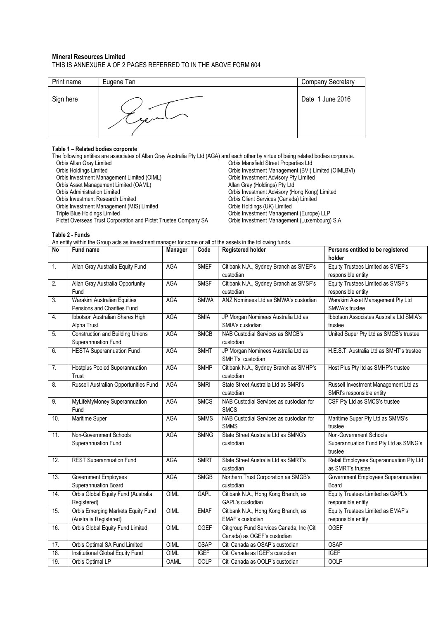#### **Mineral Resources Limited** THIS IS ANNEXURE A OF 2 PAGES REFERRED TO IN THE ABOVE FORM 604

| Print name | Eugene Tan | <b>Company Secretary</b> |
|------------|------------|--------------------------|
| Sign here  |            | Date 1 June 2016         |

### **Table 1 – Related bodies corporate**

The following entities are associates of Allan Gray Australia Pty Ltd (AGA) and each other by virtue of being related bodies corporate.<br>Orbis Allan Gray Limited orbis Mansfield Street Properties Ltd Orbis Allan Gray Limited Orbis Mansfield Street Properties Ltd Orbis Investment Management (BVI) Limited (OIMLBVI)<br>Orbis Investment Advisory Pty Limited Orbis Investment Management Limited (OIML) Orbis Investment Advisory Pty<br>
Orbis Asset Management Limited (OAML) Channel County Allan Gray (Holdings) Pty Ltd Orbis Asset Management Limited (OAML)<br>Orbis Administration Limited Orbis Administration Limited<br>
Orbis Investment Advisory (Hong Kong) Limited<br>
Orbis Investment Research Limited<br>
Orbis Client Services (Canada) Limited Orbis Client Services (Canada) Limited<br>Orbis Holdings (UK) Limited Orbis Investment Management (MIS) Limited<br>Triple Blue Holdings Limited Orbis Investment Management (Europe) LLP<br>Orbis Investment Management (Luxembourg) S.A Pictet Overseas Trust Corporation and Pictet Trustee Company SA

**Table 2 - Funds**

An entity within the Group acts as investment manager for some or all of the assets in the following funds.

| N <sub>o</sub> | Fund name                                                    | Manager     | Code        | <b>Registered holder</b>                  | Persons entitled to be registered                    |
|----------------|--------------------------------------------------------------|-------------|-------------|-------------------------------------------|------------------------------------------------------|
|                |                                                              |             |             |                                           | holder                                               |
| 1.             | Allan Gray Australia Equity Fund                             | AGA         | <b>SMEF</b> | Citibank N.A., Sydney Branch as SMEF's    | Equity Trustees Limited as SMEF's                    |
|                |                                                              |             |             | custodian                                 | responsible entity                                   |
| 2.             | Allan Gray Australia Opportunity                             | <b>AGA</b>  | <b>SMSF</b> | Citibank N.A., Sydney Branch as SMSF's    | Equity Trustees Limited as SMSF's                    |
|                | Fund                                                         |             |             | custodian                                 | responsible entity                                   |
| 3.             | Warakirri Australian Equities<br>Pensions and Charities Fund | AGA         | <b>SMWA</b> | ANZ Nominees Ltd as SMWA's custodian      | Warakirri Asset Management Pty Ltd<br>SMWA's trustee |
| 4.             | Ibbotson Australian Shares High                              | AGA         | <b>SMIA</b> | JP Morgan Nominees Australia Ltd as       | Ibbotson Associates Australia Ltd SMIA's             |
|                | Alpha Trust                                                  |             |             | SMIA's custodian                          | trustee                                              |
| 5.             | <b>Construction and Building Unions</b>                      | <b>AGA</b>  | <b>SMCB</b> | NAB Custodial Services as SMCB's          | United Super Pty Ltd as SMCB's trustee               |
|                | Superannuation Fund                                          |             |             | custodian                                 |                                                      |
| 6.             | <b>HESTA Superannuation Fund</b>                             | <b>AGA</b>  | <b>SMHT</b> | JP Morgan Nominees Australia Ltd as       | H.E.S.T. Australia Ltd as SMHT's trustee             |
|                |                                                              |             |             | SMHT's custodian                          |                                                      |
| 7.             | Hostplus Pooled Superannuation                               | <b>AGA</b>  | <b>SMHP</b> | Citibank N.A., Sydney Branch as SMHP's    | Host Plus Pty Itd as SMHP's trustee                  |
|                | Trust                                                        |             |             | custodian                                 |                                                      |
| 8.             | Russell Australian Opportunities Fund                        | <b>AGA</b>  | <b>SMRI</b> | State Street Australia Ltd as SMRI's      | Russell Investment Management Ltd as                 |
|                |                                                              |             |             | custodian                                 | SMRI's responsible entity                            |
| 9.             | MyLifeMyMoney Superannuation                                 | AGA         | <b>SMCS</b> | NAB Custodial Services as custodian for   | CSF Pty Ltd as SMCS's trustee                        |
|                | Fund                                                         |             |             | <b>SMCS</b>                               |                                                      |
| 10.            | Maritime Super                                               | AGA         | <b>SMMS</b> | NAB Custodial Services as custodian for   | Maritime Super Pty Ltd as SMMS's                     |
|                |                                                              |             |             | <b>SMMS</b>                               | trustee                                              |
| 11.            | Non-Government Schools                                       | <b>AGA</b>  | <b>SMNG</b> | State Street Australia Ltd as SMNG's      | Non-Government Schools                               |
|                | Superannuation Fund                                          |             |             | custodian                                 | Superannuation Fund Pty Ltd as SMNG's                |
|                |                                                              |             |             |                                           | trustee                                              |
| 12.            | <b>REST Superannuation Fund</b>                              | <b>AGA</b>  | <b>SMRT</b> | State Street Australia Ltd as SMRT's      | Retail Employees Superannuation Pty Ltd              |
|                |                                                              |             |             | custodian                                 | as SMRT's trustee                                    |
| 13.            | Government Employees                                         | AGA         | <b>SMGB</b> | Northern Trust Corporation as SMGB's      | Government Employees Superannuation                  |
|                | Superannuation Board                                         |             |             | custodian                                 | Board                                                |
| 14.            | Orbis Global Equity Fund (Australia                          | OIML        | GAPL        | Citibank N.A., Hong Kong Branch, as       | Equity Trustees Limited as GAPL's                    |
|                | Registered)                                                  |             |             | GAPL's custodian                          | responsible entity                                   |
| 15.            | Orbis Emerging Markets Equity Fund                           | OIML        | <b>EMAF</b> | Citibank N.A., Hong Kong Branch, as       | Equity Trustees Limited as EMAF's                    |
|                | (Australia Registered)                                       |             |             | EMAF's custodian                          | responsible entity                                   |
| 16.            | Orbis Global Equity Fund Limited                             | OIML        | <b>OGEF</b> | Citigroup Fund Services Canada, Inc (Citi | <b>OGEF</b>                                          |
|                |                                                              |             |             | Canada) as OGEF's custodian               |                                                      |
| 17.            | Orbis Optimal SA Fund Limited                                | OIML        | <b>OSAP</b> | Citi Canada as OSAP's custodian           | <b>OSAP</b>                                          |
| 18.            | Institutional Global Equity Fund                             | OIML        | <b>IGEF</b> | Citi Canada as IGEF's custodian           | <b>IGEF</b>                                          |
| 19.            | Orbis Optimal LP                                             | <b>OAML</b> | <b>OOLP</b> | Citi Canada as OOLP's custodian           | <b>OOLP</b>                                          |